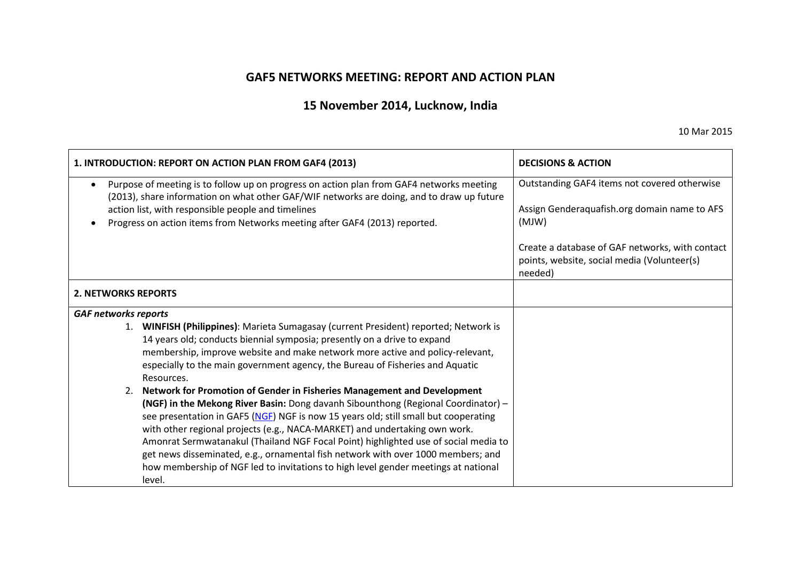## **GAF5 NETWORKS MEETING: REPORT AND ACTION PLAN**

# **15 November 2014, Lucknow, India**

10 Mar 2015

| 1. INTRODUCTION: REPORT ON ACTION PLAN FROM GAF4 (2013)                                                                                                                                                                                                                                                                                                                                                                                                                                                                                                                                                            | <b>DECISIONS &amp; ACTION</b>                                                                             |
|--------------------------------------------------------------------------------------------------------------------------------------------------------------------------------------------------------------------------------------------------------------------------------------------------------------------------------------------------------------------------------------------------------------------------------------------------------------------------------------------------------------------------------------------------------------------------------------------------------------------|-----------------------------------------------------------------------------------------------------------|
| Purpose of meeting is to follow up on progress on action plan from GAF4 networks meeting<br>$\bullet$<br>(2013), share information on what other GAF/WIF networks are doing, and to draw up future<br>action list, with responsible people and timelines<br>Progress on action items from Networks meeting after GAF4 (2013) reported.                                                                                                                                                                                                                                                                             | Outstanding GAF4 items not covered otherwise<br>Assign Genderaquafish.org domain name to AFS<br>(MJW)     |
|                                                                                                                                                                                                                                                                                                                                                                                                                                                                                                                                                                                                                    | Create a database of GAF networks, with contact<br>points, website, social media (Volunteer(s)<br>needed) |
| <b>2. NETWORKS REPORTS</b>                                                                                                                                                                                                                                                                                                                                                                                                                                                                                                                                                                                         |                                                                                                           |
| <b>GAF networks reports</b>                                                                                                                                                                                                                                                                                                                                                                                                                                                                                                                                                                                        |                                                                                                           |
| 1. WINFISH (Philippines): Marieta Sumagasay (current President) reported; Network is<br>14 years old; conducts biennial symposia; presently on a drive to expand<br>membership, improve website and make network more active and policy-relevant,<br>especially to the main government agency, the Bureau of Fisheries and Aquatic<br>Resources.                                                                                                                                                                                                                                                                   |                                                                                                           |
| Network for Promotion of Gender in Fisheries Management and Development<br>2.<br>(NGF) in the Mekong River Basin: Dong davanh Sibounthong (Regional Coordinator) -<br>see presentation in GAF5 (NGF) NGF is now 15 years old; still small but cooperating<br>with other regional projects (e.g., NACA-MARKET) and undertaking own work.<br>Amonrat Sermwatanakul (Thailand NGF Focal Point) highlighted use of social media to<br>get news disseminated, e.g., ornamental fish network with over 1000 members; and<br>how membership of NGF led to invitations to high level gender meetings at national<br>level. |                                                                                                           |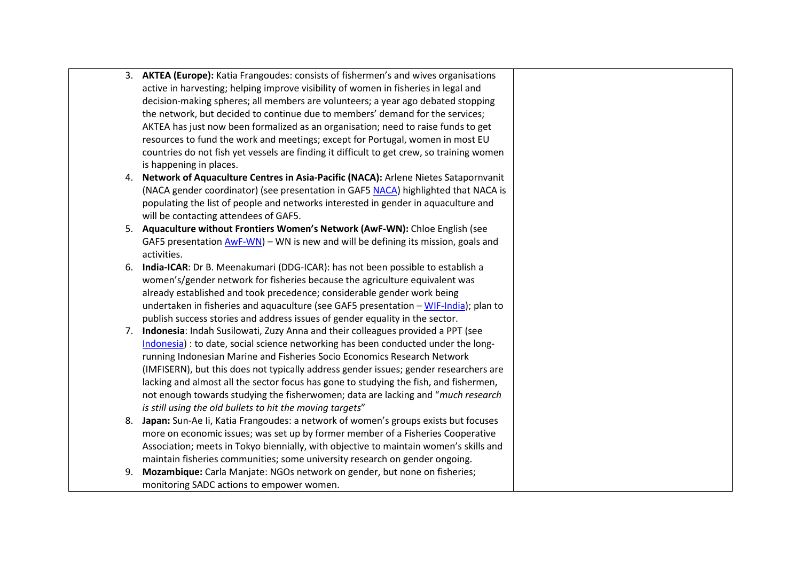|    | 3. AKTEA (Europe): Katia Frangoudes: consists of fishermen's and wives organisations      |
|----|-------------------------------------------------------------------------------------------|
|    | active in harvesting; helping improve visibility of women in fisheries in legal and       |
|    | decision-making spheres; all members are volunteers; a year ago debated stopping          |
|    | the network, but decided to continue due to members' demand for the services;             |
|    | AKTEA has just now been formalized as an organisation; need to raise funds to get         |
|    | resources to fund the work and meetings; except for Portugal, women in most EU            |
|    | countries do not fish yet vessels are finding it difficult to get crew, so training women |
|    | is happening in places.                                                                   |
|    | 4. Network of Aquaculture Centres in Asia-Pacific (NACA): Arlene Nietes Satapornvanit     |
|    | (NACA gender coordinator) (see presentation in GAF5 NACA) highlighted that NACA is        |
|    | populating the list of people and networks interested in gender in aquaculture and        |
|    | will be contacting attendees of GAF5.                                                     |
|    | 5. Aquaculture without Frontiers Women's Network (AwF-WN): Chloe English (see             |
|    | GAF5 presentation $AWF-WN$ – WN is new and will be defining its mission, goals and        |
|    | activities.                                                                               |
| 6. | India-ICAR: Dr B. Meenakumari (DDG-ICAR): has not been possible to establish a            |
|    | women's/gender network for fisheries because the agriculture equivalent was               |
|    | already established and took precedence; considerable gender work being                   |
|    | undertaken in fisheries and aquaculture (see GAF5 presentation - WIF-India); plan to      |
|    | publish success stories and address issues of gender equality in the sector.              |
| 7. | Indonesia: Indah Susilowati, Zuzy Anna and their colleagues provided a PPT (see           |
|    | Indonesia) : to date, social science networking has been conducted under the long-        |
|    | running Indonesian Marine and Fisheries Socio Economics Research Network                  |
|    | (IMFISERN), but this does not typically address gender issues; gender researchers are     |
|    | lacking and almost all the sector focus has gone to studying the fish, and fishermen,     |
|    | not enough towards studying the fisherwomen; data are lacking and "much research          |
|    | is still using the old bullets to hit the moving targets"                                 |
|    | 8. Japan: Sun-Ae Ii, Katia Frangoudes: a network of women's groups exists but focuses     |
|    | more on economic issues; was set up by former member of a Fisheries Cooperative           |
|    | Association; meets in Tokyo biennially, with objective to maintain women's skills and     |
|    | maintain fisheries communities; some university research on gender ongoing.               |
| 9. | Mozambique: Carla Manjate: NGOs network on gender, but none on fisheries;                 |
|    | monitoring SADC actions to empower women.                                                 |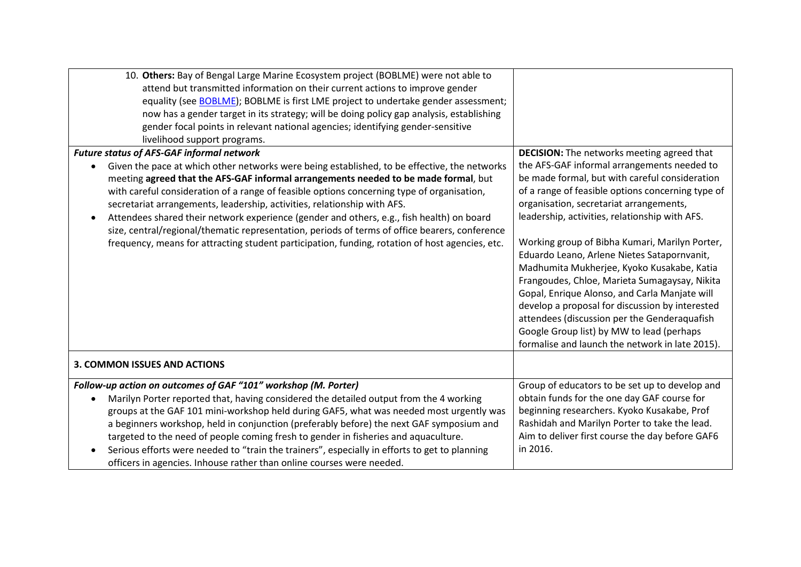| 10. Others: Bay of Bengal Large Marine Ecosystem project (BOBLME) were not able to<br>attend but transmitted information on their current actions to improve gender<br>equality (see BOBLME); BOBLME is first LME project to undertake gender assessment;<br>now has a gender target in its strategy; will be doing policy gap analysis, establishing<br>gender focal points in relevant national agencies; identifying gender-sensitive<br>livelihood support programs.                                                                                                                                                                                        |                                                                                                                                                                                                                                                                                                                                                                                                                                                                                                                                                                                                                                                                                                     |
|-----------------------------------------------------------------------------------------------------------------------------------------------------------------------------------------------------------------------------------------------------------------------------------------------------------------------------------------------------------------------------------------------------------------------------------------------------------------------------------------------------------------------------------------------------------------------------------------------------------------------------------------------------------------|-----------------------------------------------------------------------------------------------------------------------------------------------------------------------------------------------------------------------------------------------------------------------------------------------------------------------------------------------------------------------------------------------------------------------------------------------------------------------------------------------------------------------------------------------------------------------------------------------------------------------------------------------------------------------------------------------------|
| <b>Future status of AFS-GAF informal network</b>                                                                                                                                                                                                                                                                                                                                                                                                                                                                                                                                                                                                                | <b>DECISION:</b> The networks meeting agreed that                                                                                                                                                                                                                                                                                                                                                                                                                                                                                                                                                                                                                                                   |
| Given the pace at which other networks were being established, to be effective, the networks<br>meeting agreed that the AFS-GAF informal arrangements needed to be made formal, but<br>with careful consideration of a range of feasible options concerning type of organisation,<br>secretariat arrangements, leadership, activities, relationship with AFS.<br>Attendees shared their network experience (gender and others, e.g., fish health) on board<br>size, central/regional/thematic representation, periods of terms of office bearers, conference<br>frequency, means for attracting student participation, funding, rotation of host agencies, etc. | the AFS-GAF informal arrangements needed to<br>be made formal, but with careful consideration<br>of a range of feasible options concerning type of<br>organisation, secretariat arrangements,<br>leadership, activities, relationship with AFS.<br>Working group of Bibha Kumari, Marilyn Porter,<br>Eduardo Leano, Arlene Nietes Satapornvanit,<br>Madhumita Mukherjee, Kyoko Kusakabe, Katia<br>Frangoudes, Chloe, Marieta Sumagaysay, Nikita<br>Gopal, Enrique Alonso, and Carla Manjate will<br>develop a proposal for discussion by interested<br>attendees (discussion per the Genderaquafish<br>Google Group list) by MW to lead (perhaps<br>formalise and launch the network in late 2015). |
| <b>3. COMMON ISSUES AND ACTIONS</b>                                                                                                                                                                                                                                                                                                                                                                                                                                                                                                                                                                                                                             |                                                                                                                                                                                                                                                                                                                                                                                                                                                                                                                                                                                                                                                                                                     |
| Follow-up action on outcomes of GAF "101" workshop (M. Porter)                                                                                                                                                                                                                                                                                                                                                                                                                                                                                                                                                                                                  | Group of educators to be set up to develop and                                                                                                                                                                                                                                                                                                                                                                                                                                                                                                                                                                                                                                                      |
| Marilyn Porter reported that, having considered the detailed output from the 4 working<br>groups at the GAF 101 mini-workshop held during GAF5, what was needed most urgently was<br>a beginners workshop, held in conjunction (preferably before) the next GAF symposium and<br>targeted to the need of people coming fresh to gender in fisheries and aquaculture.<br>Serious efforts were needed to "train the trainers", especially in efforts to get to planning<br>officers in agencies. Inhouse rather than online courses were needed.                                                                                                                  | obtain funds for the one day GAF course for<br>beginning researchers. Kyoko Kusakabe, Prof<br>Rashidah and Marilyn Porter to take the lead.<br>Aim to deliver first course the day before GAF6<br>in 2016.                                                                                                                                                                                                                                                                                                                                                                                                                                                                                          |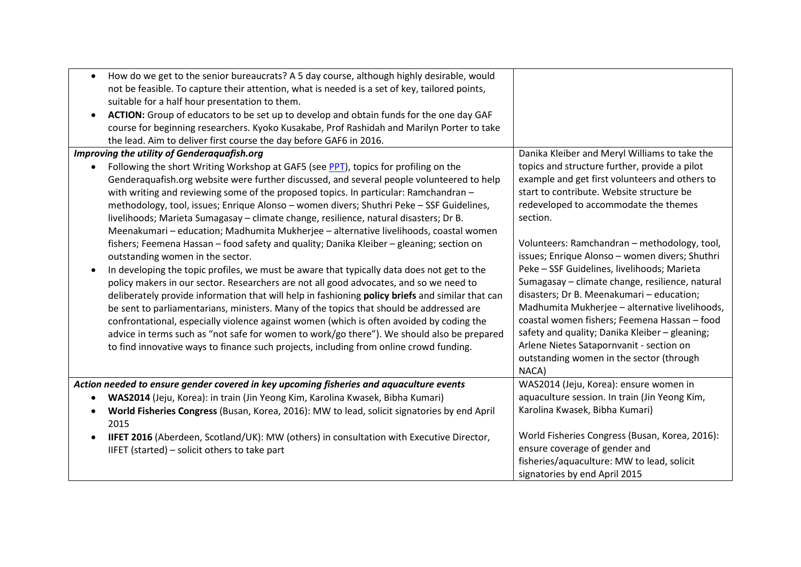| How do we get to the senior bureaucrats? A 5 day course, although highly desirable, would<br>not be feasible. To capture their attention, what is needed is a set of key, tailored points,<br>suitable for a half hour presentation to them.<br>ACTION: Group of educators to be set up to develop and obtain funds for the one day GAF<br>course for beginning researchers. Kyoko Kusakabe, Prof Rashidah and Marilyn Porter to take<br>the lead. Aim to deliver first course the day before GAF6 in 2016.                                                                                                                                                                                                                                                                                                                                                                                                                                                                                                                                                                                                                                                                                                                                                                                                                                                       |                                                                                                                                                                                                                                                                                                                                                                                                                                                                                                                                                                                                                                                                                                         |
|-------------------------------------------------------------------------------------------------------------------------------------------------------------------------------------------------------------------------------------------------------------------------------------------------------------------------------------------------------------------------------------------------------------------------------------------------------------------------------------------------------------------------------------------------------------------------------------------------------------------------------------------------------------------------------------------------------------------------------------------------------------------------------------------------------------------------------------------------------------------------------------------------------------------------------------------------------------------------------------------------------------------------------------------------------------------------------------------------------------------------------------------------------------------------------------------------------------------------------------------------------------------------------------------------------------------------------------------------------------------|---------------------------------------------------------------------------------------------------------------------------------------------------------------------------------------------------------------------------------------------------------------------------------------------------------------------------------------------------------------------------------------------------------------------------------------------------------------------------------------------------------------------------------------------------------------------------------------------------------------------------------------------------------------------------------------------------------|
| Improving the utility of Genderaquafish.org                                                                                                                                                                                                                                                                                                                                                                                                                                                                                                                                                                                                                                                                                                                                                                                                                                                                                                                                                                                                                                                                                                                                                                                                                                                                                                                       | Danika Kleiber and Meryl Williams to take the                                                                                                                                                                                                                                                                                                                                                                                                                                                                                                                                                                                                                                                           |
| Following the short Writing Workshop at GAF5 (see PPT), topics for profiling on the<br>Genderaquafish.org website were further discussed, and several people volunteered to help<br>with writing and reviewing some of the proposed topics. In particular: Ramchandran -<br>methodology, tool, issues; Enrique Alonso - women divers; Shuthri Peke - SSF Guidelines,<br>livelihoods; Marieta Sumagasay - climate change, resilience, natural disasters; Dr B.<br>Meenakumari - education; Madhumita Mukherjee - alternative livelihoods, coastal women<br>fishers; Feemena Hassan - food safety and quality; Danika Kleiber - gleaning; section on<br>outstanding women in the sector.<br>In developing the topic profiles, we must be aware that typically data does not get to the<br>policy makers in our sector. Researchers are not all good advocates, and so we need to<br>deliberately provide information that will help in fashioning policy briefs and similar that can<br>be sent to parliamentarians, ministers. Many of the topics that should be addressed are<br>confrontational, especially violence against women (which is often avoided by coding the<br>advice in terms such as "not safe for women to work/go there"). We should also be prepared<br>to find innovative ways to finance such projects, including from online crowd funding. | topics and structure further, provide a pilot<br>example and get first volunteers and others to<br>start to contribute. Website structure be<br>redeveloped to accommodate the themes<br>section.<br>Volunteers: Ramchandran - methodology, tool,<br>issues; Enrique Alonso - women divers; Shuthri<br>Peke - SSF Guidelines, livelihoods; Marieta<br>Sumagasay - climate change, resilience, natural<br>disasters; Dr B. Meenakumari - education;<br>Madhumita Mukherjee - alternative livelihoods,<br>coastal women fishers; Feemena Hassan - food<br>safety and quality; Danika Kleiber - gleaning;<br>Arlene Nietes Satapornvanit - section on<br>outstanding women in the sector (through<br>NACA) |
| Action needed to ensure gender covered in key upcoming fisheries and aquaculture events<br>WAS2014 (Jeju, Korea): in train (Jin Yeong Kim, Karolina Kwasek, Bibha Kumari)<br>World Fisheries Congress (Busan, Korea, 2016): MW to lead, solicit signatories by end April<br>2015<br>IIFET 2016 (Aberdeen, Scotland/UK): MW (others) in consultation with Executive Director,<br>$\bullet$<br>IIFET (started) - solicit others to take part                                                                                                                                                                                                                                                                                                                                                                                                                                                                                                                                                                                                                                                                                                                                                                                                                                                                                                                        | WAS2014 (Jeju, Korea): ensure women in<br>aquaculture session. In train (Jin Yeong Kim,<br>Karolina Kwasek, Bibha Kumari)<br>World Fisheries Congress (Busan, Korea, 2016):<br>ensure coverage of gender and<br>fisheries/aquaculture: MW to lead, solicit<br>signatories by end April 2015                                                                                                                                                                                                                                                                                                                                                                                                             |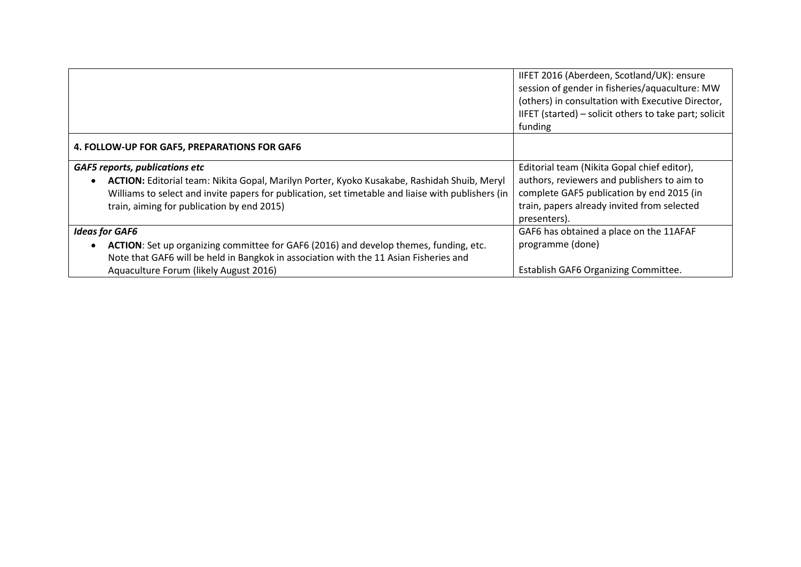|                                                                                                    | IIFET 2016 (Aberdeen, Scotland/UK): ensure<br>session of gender in fisheries/aquaculture: MW<br>(others) in consultation with Executive Director,<br>IIFET (started) - solicit others to take part; solicit<br>funding |
|----------------------------------------------------------------------------------------------------|------------------------------------------------------------------------------------------------------------------------------------------------------------------------------------------------------------------------|
| 4. FOLLOW-UP FOR GAF5, PREPARATIONS FOR GAF6                                                       |                                                                                                                                                                                                                        |
| <b>GAF5 reports, publications etc</b>                                                              | Editorial team (Nikita Gopal chief editor),                                                                                                                                                                            |
| ACTION: Editorial team: Nikita Gopal, Marilyn Porter, Kyoko Kusakabe, Rashidah Shuib, Meryl        | authors, reviewers and publishers to aim to                                                                                                                                                                            |
| Williams to select and invite papers for publication, set timetable and liaise with publishers (in | complete GAF5 publication by end 2015 (in                                                                                                                                                                              |
| train, aiming for publication by end 2015)                                                         | train, papers already invited from selected                                                                                                                                                                            |
|                                                                                                    | presenters).                                                                                                                                                                                                           |
| <b>Ideas for GAF6</b>                                                                              | GAF6 has obtained a place on the 11AFAF                                                                                                                                                                                |
| ACTION: Set up organizing committee for GAF6 (2016) and develop themes, funding, etc.              | programme (done)                                                                                                                                                                                                       |
| Note that GAF6 will be held in Bangkok in association with the 11 Asian Fisheries and              |                                                                                                                                                                                                                        |
| Aquaculture Forum (likely August 2016)                                                             | Establish GAF6 Organizing Committee.                                                                                                                                                                                   |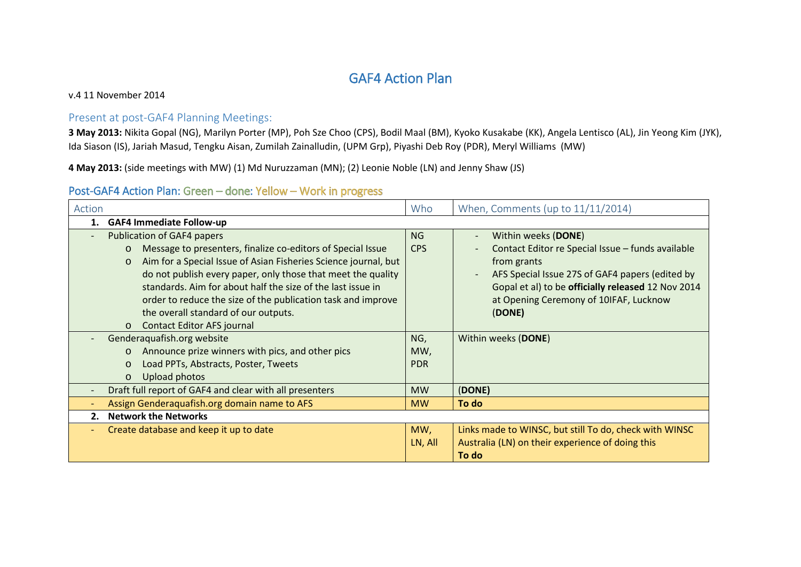## GAF4 Action Plan

v.4 11 November 2014

#### Present at post-GAF4 Planning Meetings:

**3 May 2013:** Nikita Gopal (NG), Marilyn Porter (MP), Poh Sze Choo (CPS), Bodil Maal (BM), Kyoko Kusakabe (KK), Angela Lentisco (AL), Jin Yeong Kim (JYK), Ida Siason (IS), Jariah Masud, Tengku Aisan, Zumilah Zainalludin, (UPM Grp), Piyashi Deb Roy (PDR), Meryl Williams (MW)

**4 May 2013:** (side meetings with MW) (1) Md Nuruzzaman (MN); (2) Leonie Noble (LN) and Jenny Shaw (JS)

## Post-GAF4 Action Plan: Green – done: Yellow – Work in progress

| Action                                                                     | Who        | When, Comments (up to $11/11/2014$ )                                        |  |
|----------------------------------------------------------------------------|------------|-----------------------------------------------------------------------------|--|
| <b>GAF4 Immediate Follow-up</b><br>1.                                      |            |                                                                             |  |
| <b>Publication of GAF4 papers</b>                                          | NG         | Within weeks (DONE)<br>$\overline{\phantom{0}}$                             |  |
| Message to presenters, finalize co-editors of Special Issue<br>$\circ$     | <b>CPS</b> | Contact Editor re Special Issue - funds available                           |  |
| Aim for a Special Issue of Asian Fisheries Science journal, but<br>$\circ$ |            | from grants                                                                 |  |
| do not publish every paper, only those that meet the quality               |            | AFS Special Issue 27S of GAF4 papers (edited by<br>$\overline{\phantom{a}}$ |  |
| standards. Aim for about half the size of the last issue in                |            | Gopal et al) to be officially released 12 Nov 2014                          |  |
| order to reduce the size of the publication task and improve               |            | at Opening Ceremony of 10IFAF, Lucknow                                      |  |
| the overall standard of our outputs.                                       |            | (DONE)                                                                      |  |
| <b>Contact Editor AFS journal</b><br>$\circ$                               |            |                                                                             |  |
| Genderaquafish.org website                                                 | NG,        | Within weeks (DONE)                                                         |  |
| Announce prize winners with pics, and other pics<br>$\circ$                | MW,        |                                                                             |  |
| Load PPTs, Abstracts, Poster, Tweets<br>$\circ$                            | <b>PDR</b> |                                                                             |  |
| Upload photos<br>$\circ$                                                   |            |                                                                             |  |
| Draft full report of GAF4 and clear with all presenters                    | <b>MW</b>  | (DONE)                                                                      |  |
| Assign Genderaquafish.org domain name to AFS                               | <b>MW</b>  | To do                                                                       |  |
| <b>Network the Networks</b><br>2.                                          |            |                                                                             |  |
| Create database and keep it up to date                                     | MW,        | Links made to WINSC, but still To do, check with WINSC                      |  |
|                                                                            | LN, All    | Australia (LN) on their experience of doing this                            |  |
|                                                                            |            | To do                                                                       |  |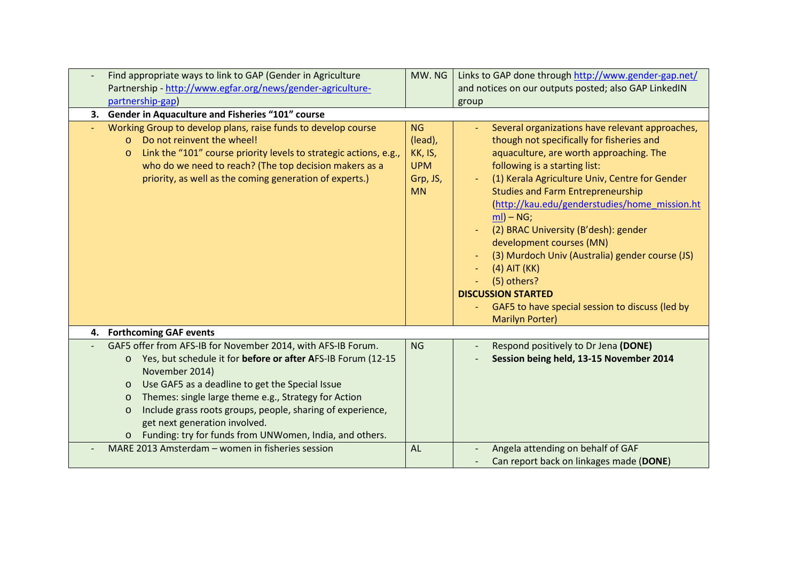| Find appropriate ways to link to GAP (Gender in Agriculture<br>Partnership - http://www.egfar.org/news/gender-agriculture-                                                                                                                                                                                                                                                                                                                                                 | MW. NG                                                                 | Links to GAP done through http://www.gender-gap.net/<br>and notices on our outputs posted; also GAP LinkedIN                                                                                                                                                                                                                                                                                                                                                                                                                                                                                                |
|----------------------------------------------------------------------------------------------------------------------------------------------------------------------------------------------------------------------------------------------------------------------------------------------------------------------------------------------------------------------------------------------------------------------------------------------------------------------------|------------------------------------------------------------------------|-------------------------------------------------------------------------------------------------------------------------------------------------------------------------------------------------------------------------------------------------------------------------------------------------------------------------------------------------------------------------------------------------------------------------------------------------------------------------------------------------------------------------------------------------------------------------------------------------------------|
| partnership-gap)                                                                                                                                                                                                                                                                                                                                                                                                                                                           |                                                                        | group                                                                                                                                                                                                                                                                                                                                                                                                                                                                                                                                                                                                       |
| 3. Gender in Aquaculture and Fisheries "101" course                                                                                                                                                                                                                                                                                                                                                                                                                        |                                                                        |                                                                                                                                                                                                                                                                                                                                                                                                                                                                                                                                                                                                             |
| Working Group to develop plans, raise funds to develop course<br>Do not reinvent the wheel!<br>$\circ$<br>Link the "101" course priority levels to strategic actions, e.g.,<br>$\circ$<br>who do we need to reach? (The top decision makers as a<br>priority, as well as the coming generation of experts.)                                                                                                                                                                | <b>NG</b><br>(lead),<br>KK, IS,<br><b>UPM</b><br>Grp, JS,<br><b>MN</b> | Several organizations have relevant approaches,<br>though not specifically for fisheries and<br>aquaculture, are worth approaching. The<br>following is a starting list:<br>(1) Kerala Agriculture Univ, Centre for Gender<br><b>Studies and Farm Entrepreneurship</b><br>(http://kau.edu/genderstudies/home mission.ht<br>$ml$ ) – NG;<br>(2) BRAC University (B'desh): gender<br>development courses (MN)<br>(3) Murdoch Univ (Australia) gender course (JS)<br>$(4)$ AIT $(KK)$<br>(5) others?<br><b>DISCUSSION STARTED</b><br>GAF5 to have special session to discuss (led by<br><b>Marilyn Porter)</b> |
| 4. Forthcoming GAF events                                                                                                                                                                                                                                                                                                                                                                                                                                                  |                                                                        |                                                                                                                                                                                                                                                                                                                                                                                                                                                                                                                                                                                                             |
| GAF5 offer from AFS-IB for November 2014, with AFS-IB Forum.<br>Yes, but schedule it for before or after AFS-IB Forum (12-15<br>$\circ$<br>November 2014)<br>Use GAF5 as a deadline to get the Special Issue<br>$\circ$<br>Themes: single large theme e.g., Strategy for Action<br>$\circ$<br>Include grass roots groups, people, sharing of experience,<br>$\circ$<br>get next generation involved.<br>Funding: try for funds from UNWomen, India, and others.<br>$\circ$ | <b>NG</b>                                                              | Respond positively to Dr Jena (DONE)<br>Session being held, 13-15 November 2014                                                                                                                                                                                                                                                                                                                                                                                                                                                                                                                             |
| MARE 2013 Amsterdam - women in fisheries session                                                                                                                                                                                                                                                                                                                                                                                                                           | <b>AL</b>                                                              | Angela attending on behalf of GAF<br>Can report back on linkages made (DONE)                                                                                                                                                                                                                                                                                                                                                                                                                                                                                                                                |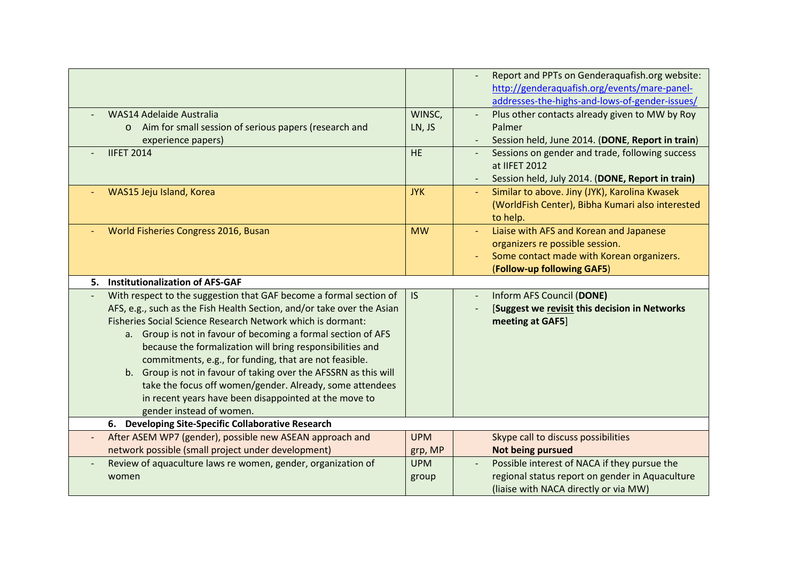|                                                                                                                                                                                                                                                                                                                                                                                                                                                                                                                                                                                                                          |                       | Report and PPTs on Genderaquafish.org website:<br>http://genderaquafish.org/events/mare-panel-<br>addresses-the-highs-and-lows-of-gender-issues/      |
|--------------------------------------------------------------------------------------------------------------------------------------------------------------------------------------------------------------------------------------------------------------------------------------------------------------------------------------------------------------------------------------------------------------------------------------------------------------------------------------------------------------------------------------------------------------------------------------------------------------------------|-----------------------|-------------------------------------------------------------------------------------------------------------------------------------------------------|
| WAS14 Adelaide Australia<br>Aim for small session of serious papers (research and<br>$\circ$<br>experience papers)                                                                                                                                                                                                                                                                                                                                                                                                                                                                                                       | WINSC,<br>LN, JS      | Plus other contacts already given to MW by Roy<br>Palmer<br>Session held, June 2014. (DONE, Report in train)                                          |
| <b>IIFET 2014</b>                                                                                                                                                                                                                                                                                                                                                                                                                                                                                                                                                                                                        | <b>HE</b>             | Sessions on gender and trade, following success<br>at IIFET 2012<br>Session held, July 2014. (DONE, Report in train)<br>$\overline{\phantom{a}}$      |
| WAS15 Jeju Island, Korea                                                                                                                                                                                                                                                                                                                                                                                                                                                                                                                                                                                                 | <b>JYK</b>            | Similar to above. Jiny (JYK), Karolina Kwasek<br>$\blacksquare$<br>(WorldFish Center), Bibha Kumari also interested<br>to help.                       |
| World Fisheries Congress 2016, Busan                                                                                                                                                                                                                                                                                                                                                                                                                                                                                                                                                                                     | <b>MW</b>             | Liaise with AFS and Korean and Japanese<br>organizers re possible session.<br>Some contact made with Korean organizers.<br>(Follow-up following GAF5) |
| <b>Institutionalization of AFS-GAF</b><br>5.                                                                                                                                                                                                                                                                                                                                                                                                                                                                                                                                                                             |                       |                                                                                                                                                       |
| With respect to the suggestion that GAF become a formal section of<br>AFS, e.g., such as the Fish Health Section, and/or take over the Asian<br>Fisheries Social Science Research Network which is dormant:<br>a. Group is not in favour of becoming a formal section of AFS<br>because the formalization will bring responsibilities and<br>commitments, e.g., for funding, that are not feasible.<br>b. Group is not in favour of taking over the AFSSRN as this will<br>take the focus off women/gender. Already, some attendees<br>in recent years have been disappointed at the move to<br>gender instead of women. | <b>IS</b>             | Inform AFS Council (DONE)<br>[Suggest we revisit this decision in Networks<br>meeting at GAF5]                                                        |
| 6. Developing Site-Specific Collaborative Research                                                                                                                                                                                                                                                                                                                                                                                                                                                                                                                                                                       |                       |                                                                                                                                                       |
| After ASEM WP7 (gender), possible new ASEAN approach and<br>network possible (small project under development)                                                                                                                                                                                                                                                                                                                                                                                                                                                                                                           | <b>UPM</b><br>grp, MP | Skype call to discuss possibilities<br>Not being pursued                                                                                              |
| Review of aquaculture laws re women, gender, organization of<br>women                                                                                                                                                                                                                                                                                                                                                                                                                                                                                                                                                    | <b>UPM</b><br>group   | Possible interest of NACA if they pursue the<br>regional status report on gender in Aquaculture<br>(liaise with NACA directly or via MW)              |